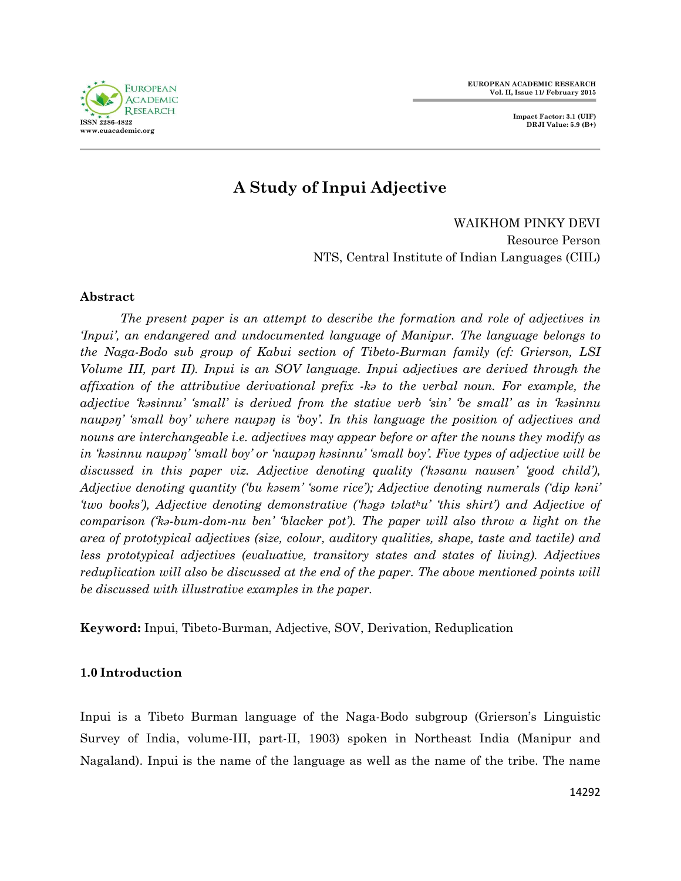



# **A Study of Inpui Adjective**

WAIKHOM PINKY DEVI Resource Person NTS, Central Institute of Indian Languages (CIIL)

# **Abstract**

*The present paper is an attempt to describe the formation and role of adjectives in 'Inpui', an endangered and undocumented language of Manipur. The language belongs to the Naga-Bodo sub group of Kabui section of Tibeto-Burman family (cf: Grierson, LSI Volume III, part II). Inpui is an SOV language. Inpui adjectives are derived through the affixation of the attributive derivational prefix -kə to the verbal noun. For example, the adjective 'kəsinnu' 'small' is derived from the stative verb 'sin' 'be small' as in 'kəsinnu naupəŋ' 'small boy' where naupəŋ is 'boy'. In this language the position of adjectives and nouns are interchangeable i.e. adjectives may appear before or after the nouns they modify as in 'kəsinnu naupəŋ' 'small boy' or 'naupəŋ kəsinnu' 'small boy'. Five types of adjective will be discussed in this paper viz. Adjective denoting quality ('kəsanu nausen' 'good child'), Adjective denoting quantity ('bu kəsem' 'some rice'); Adjective denoting numerals ('dip kəni' 'two books'), Adjective denoting demonstrative ('həgə təlathu' 'this shirt') and Adjective of comparison ('kə-bum-dom-nu ben' 'blacker pot'). The paper will also throw a light on the area of prototypical adjectives (size, colour, auditory qualities, shape, taste and tactile) and less prototypical adjectives (evaluative, transitory states and states of living). Adjectives reduplication will also be discussed at the end of the paper. The above mentioned points will be discussed with illustrative examples in the paper.*

**Keyword:** Inpui, Tibeto-Burman, Adjective, SOV, Derivation, Reduplication

## **1.0 Introduction**

Inpui is a Tibeto Burman language of the Naga-Bodo subgroup (Grierson's Linguistic Survey of India, volume-III, part-II, 1903) spoken in Northeast India (Manipur and Nagaland). Inpui is the name of the language as well as the name of the tribe. The name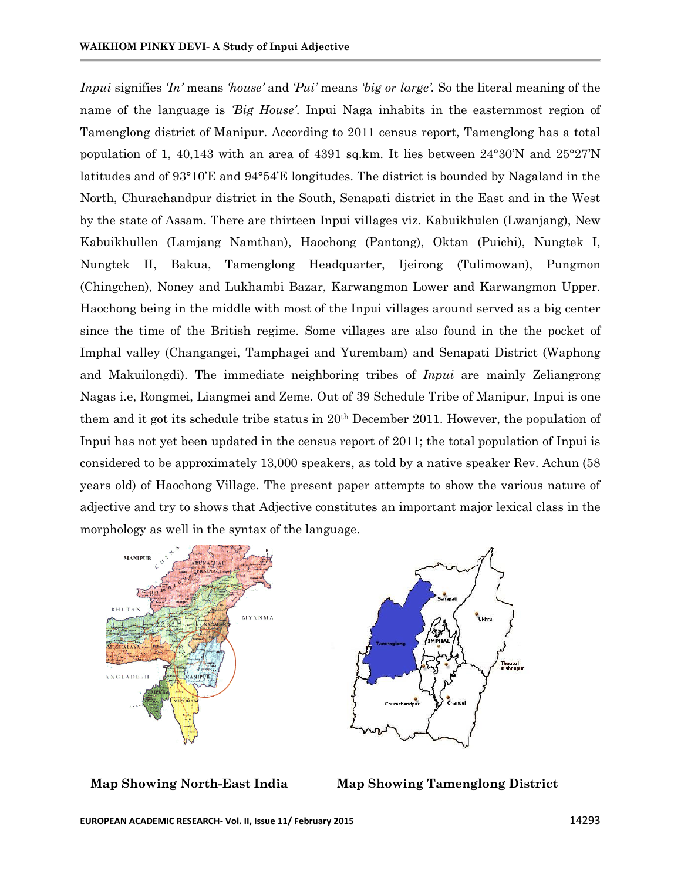*Inpui* signifies *'In'* means *'house'* and *'Pui'* means *'big or large'.* So the literal meaning of the name of the language is *'Big House'*. Inpui Naga inhabits in the easternmost region of Tamenglong district of Manipur. According to 2011 census report, Tamenglong has a total population of 1, 40,143 with an area of 4391 sq.km. It lies between 24°30'N and 25°27'N latitudes and of 93°10'E and 94°54'E longitudes. The district is bounded by Nagaland in the North, Churachandpur district in the South, Senapati district in the East and in the West by the state of Assam. There are thirteen Inpui villages viz. Kabuikhulen (Lwanjang), New Kabuikhullen (Lamjang Namthan), Haochong (Pantong), Oktan (Puichi), Nungtek I, Nungtek II, Bakua, Tamenglong Headquarter, Ijeirong (Tulimowan), Pungmon (Chingchen), Noney and Lukhambi Bazar, Karwangmon Lower and Karwangmon Upper. Haochong being in the middle with most of the Inpui villages around served as a big center since the time of the British regime. Some villages are also found in the the pocket of Imphal valley (Changangei, Tamphagei and Yurembam) and Senapati District (Waphong and Makuilongdi). The immediate neighboring tribes of *Inpui* are mainly Zeliangrong Nagas i.e, Rongmei, Liangmei and Zeme. Out of 39 Schedule Tribe of Manipur, Inpui is one them and it got its schedule tribe status in 20th December 2011. However, the population of Inpui has not yet been updated in the census report of 2011; the total population of Inpui is considered to be approximately 13,000 speakers, as told by a native speaker Rev. Achun (58 years old) of Haochong Village. The present paper attempts to show the various nature of adjective and try to shows that Adjective constitutes an important major lexical class in the morphology as well in the syntax of the language.





 **Map Showing North-East India Map Showing Tamenglong District**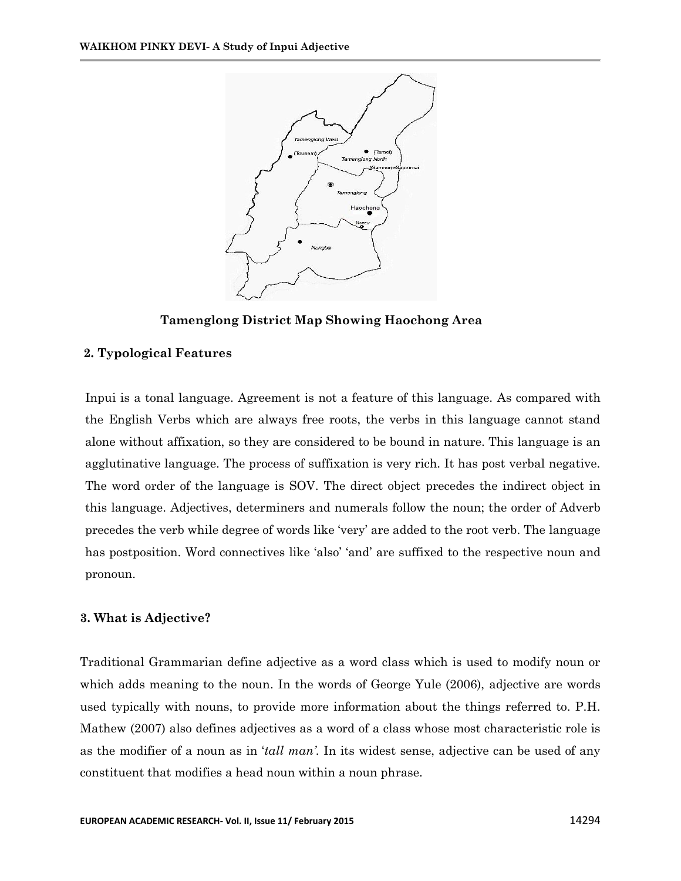

**Tamenglong District Map Showing Haochong Area**

# **2. Typological Features**

Inpui is a tonal language. Agreement is not a feature of this language. As compared with the English Verbs which are always free roots, the verbs in this language cannot stand alone without affixation, so they are considered to be bound in nature. This language is an agglutinative language. The process of suffixation is very rich. It has post verbal negative. The word order of the language is SOV. The direct object precedes the indirect object in this language. Adjectives, determiners and numerals follow the noun; the order of Adverb precedes the verb while degree of words like 'very' are added to the root verb. The language has postposition. Word connectives like 'also' 'and' are suffixed to the respective noun and pronoun.

## **3. What is Adjective?**

Traditional Grammarian define adjective as a word class which is used to modify noun or which adds meaning to the noun. In the words of George Yule (2006), adjective are words used typically with nouns, to provide more information about the things referred to. P.H. Mathew (2007) also defines adjectives as a word of a class whose most characteristic role is as the modifier of a noun as in '*tall man'.* In its widest sense, adjective can be used of any constituent that modifies a head noun within a noun phrase.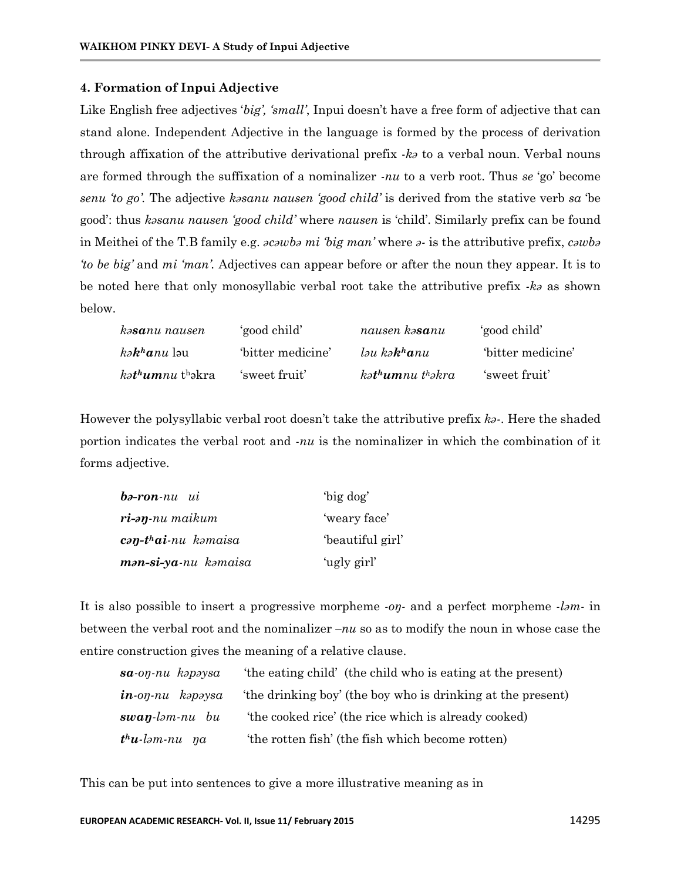#### **4. Formation of Inpui Adjective**

Like English free adjectives '*big', 'small'*, Inpui doesn't have a free form of adjective that can stand alone. Independent Adjective in the language is formed by the process of derivation through affixation of the attributive derivational prefix -*kə* to a verbal noun. Verbal nouns are formed through the suffixation of a nominalizer *-nu* to a verb root. Thus *se* 'go' become *senu 'to go'.* The adjective *kəsanu nausen 'good child'* is derived from the stative verb *sa* 'be good': thus *kəsanu nausen 'good child'* where *nausen* is 'child'. Similarly prefix can be found in Meithei of the T.B family e.g. *əcəwbə mi 'big man'* where *ə-* is the attributive prefix, *cəwbə 'to be big'* and *mi 'man'.* Adjectives can appear before or after the noun they appear. It is to be noted here that only monosyllabic verbal root take the attributive prefix *-kə* as shown below.

| kə <b>sa</b> nu nausen | 'good child'      | nausen kə <b>sa</b> nu                         | 'good child'     |
|------------------------|-------------------|------------------------------------------------|------------------|
| $k$ <i>akhanu</i> lau  | 'bitter medicine' | $l$ <sub>au</sub> ka <b>k</b> <sup>h</sup> anu | bitter medicine' |
| <i>kathumnu</i> thakra | 'sweet fruit'     | $k$ ət <sup>h</sup> umnu thəkra                | 'sweet fruit'    |

However the polysyllabic verbal root doesn't take the attributive prefix *kə-*. Here the shaded portion indicates the verbal root and -*nu* is the nominalizer in which the combination of it forms adjective.

| $b$ ə-ron-nu ui      | 'big dog'       |
|----------------------|-----------------|
| ri-əŋ-nu maikum      | 'weary face'    |
| cən-thai-nu kəmaisa  | beautiful girl' |
| mən-si-ya-nu kəmaisa | 'ugly girl'     |

It is also possible to insert a progressive morpheme *-oŋ-* and a perfect morpheme *-ləm-* in between the verbal root and the nominalizer *–nu* so as to modify the noun in whose case the entire construction gives the meaning of a relative clause.

| $sa$ -o $\eta$ -nu kəpəysa | 'the eating child' (the child who is eating at the present) |
|----------------------------|-------------------------------------------------------------|
| $in$ -on-nu kapaysa        | the drinking boy' (the boy who is drinking at the present)  |
| $swap$ -ləm-nu bu          | 'the cooked rice' (the rice which is already cooked)        |
| $thu$ -ləm-nu $\eta a$     | the rotten fish' (the fish which become rotten)             |

This can be put into sentences to give a more illustrative meaning as in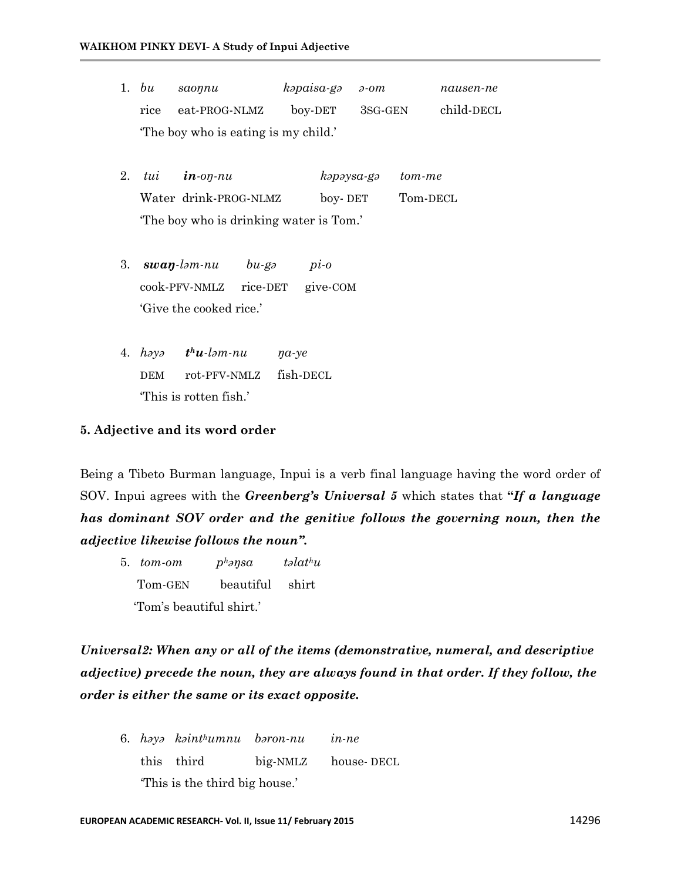- 1. *bu saoŋnu kəpaisa-gə ə-om nausen-ne* rice eat-PROG-NLMZ boy-DET 3SG-GEN child-DECL 'The boy who is eating is my child.'
- 2. *tui in-oŋ-nu kəpəysa-gə tom-me*  Water drink-PROG-NLMZ boy- DET Tom-DECL 'The boy who is drinking water is Tom.'
- 3. *swaŋ-ləm-nu bu-gə pi-o* cook-PFV-NMLZ rice-DET give-COM 'Give the cooked rice.'
- 4. *həyə t <sup>h</sup>u-ləm-nu ŋa-ye* DEM rot-PFV-NMLZ fish-DECL 'This is rotten fish.'

#### **5. Adjective and its word order**

Being a Tibeto Burman language, Inpui is a verb final language having the word order of SOV. Inpui agrees with the *Greenberg's Universal 5* which states that **"***If a language has dominant SOV order and the genitive follows the governing noun, then the adjective likewise follows the noun".*

5. *tom-om phəŋsa təlathu* Tom-GEN beautiful shirt 'Tom's beautiful shirt.'

*Universal2: When any or all of the items (demonstrative, numeral, and descriptive adjective) precede the noun, they are always found in that order. If they follow, the order is either the same or its exact opposite.*

6. *həyə kəinthumnu bəron-nu in-ne* this third big-NMLZ house- DECL 'This is the third big house.'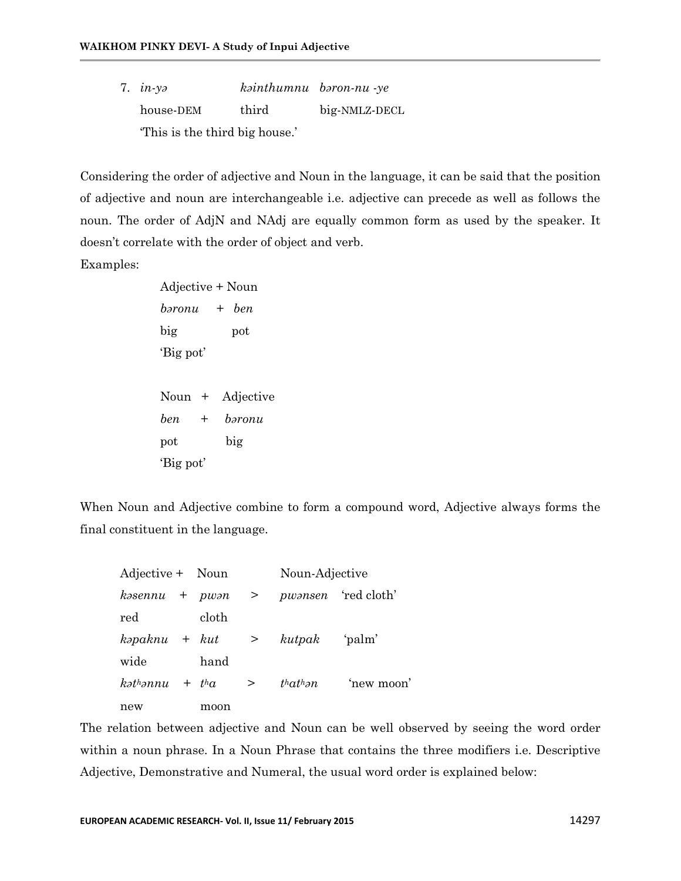7. *in-yə kəinthumnu bəron-nu -ye* house-DEM third big-NMLZ-DECL 'This is the third big house.'

Considering the order of adjective and Noun in the language, it can be said that the position of adjective and noun are interchangeable i.e. adjective can precede as well as follows the noun. The order of AdjN and NAdj are equally common form as used by the speaker. It doesn't correlate with the order of object and verb.

Examples:

Adjective + Noun *bəronu + ben* big pot 'Big pot' Noun + Adjective *ben + bəronu* pot big 'Big pot'

When Noun and Adjective combine to form a compound word, Adjective always forms the final constituent in the language.

| Adjective + Noun                     |       |         | Noun-Adjective |                            |
|--------------------------------------|-------|---------|----------------|----------------------------|
| $k$ <i>b</i> sennu + pw $\partial$ n |       | $>$ $>$ |                | <i>pwansen</i> 'red cloth' |
| red                                  | cloth |         |                |                            |
| $k$ <i>apaknu</i> + $k$ <i>ut</i>    |       | $>$ $>$ | kutpak 'palm'  |                            |
| wide                                 | hand  |         |                |                            |
| $k$ <sup>h</sup> ənnu + $t^h$ a      |       | $\geq$  | that than      | 'new moon'                 |
| new                                  | moon  |         |                |                            |

The relation between adjective and Noun can be well observed by seeing the word order within a noun phrase. In a Noun Phrase that contains the three modifiers i.e. Descriptive Adjective, Demonstrative and Numeral, the usual word order is explained below: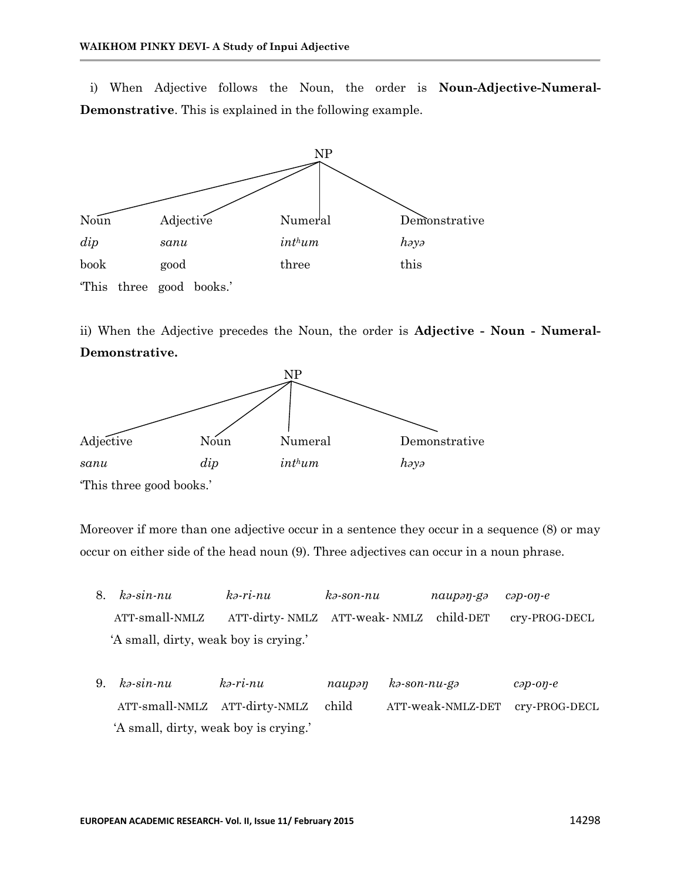i) When Adjective follows the Noun, the order is **Noun-Adjective-Numeral-Demonstrative**. This is explained in the following example.



ii) When the Adjective precedes the Noun, the order is **Adjective - Noun - Numeral-Demonstrative.**



Moreover if more than one adjective occur in a sentence they occur in a sequence (8) or may occur on either side of the head noun (9). Three adjectives can occur in a noun phrase.

- 8. *kə-sin-nu kə-ri-nu kə-son-nu naupəŋ-gə cəp-oŋ-e* ATT-small-NMLZ ATT-dirty- NMLZ ATT-weak- NMLZ child-DET cry-PROG-DECL 'A small, dirty, weak boy is crying.'
- 9. *kə-sin-nu kə-ri-nu naupəŋ kə-son-nu-gə cəp-oŋ-e* ATT-small-NMLZ ATT-dirty-NMLZ child ATT-weak-NMLZ-DET cry-PROG-DECL 'A small, dirty, weak boy is crying.'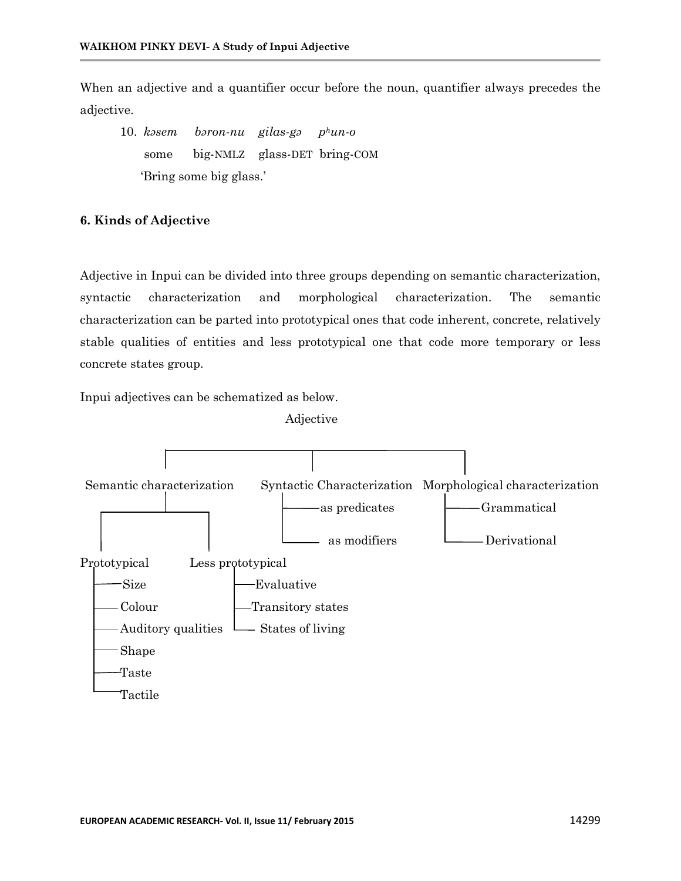When an adjective and a quantifier occur before the noun, quantifier always precedes the adjective.

10. *kəsem bəron-nu gilas-gə phun-o* some big-NMLZ glass-DET bring-COM 'Bring some big glass.'

#### **6. Kinds of Adjective**

Adjective in Inpui can be divided into three groups depending on semantic characterization, syntactic characterization and morphological characterization. The semantic characterization can be parted into prototypical ones that code inherent, concrete, relatively stable qualities of entities and less prototypical one that code more temporary or less concrete states group.

Inpui adjectives can be schematized as below.



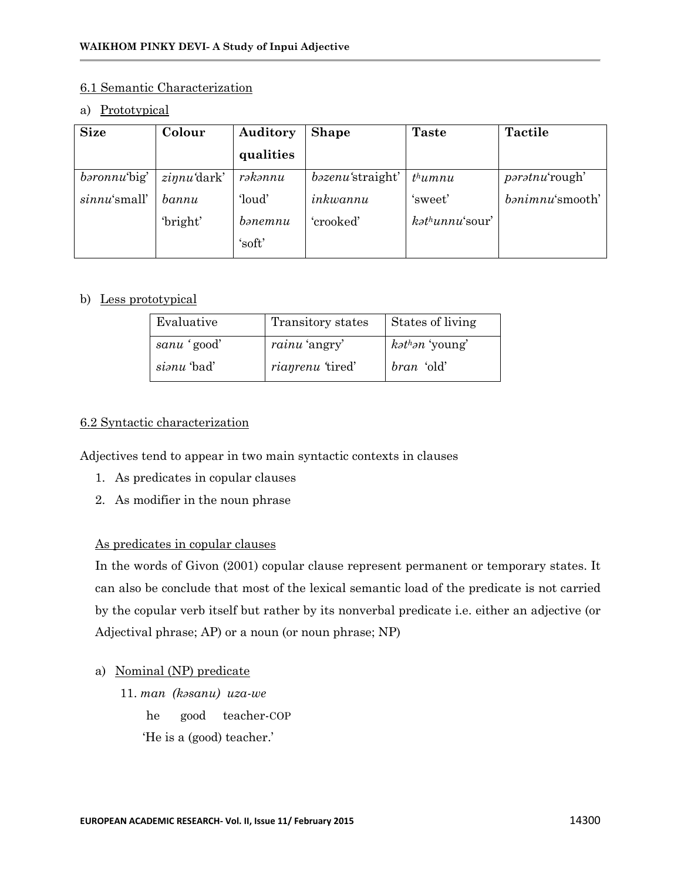#### 6.1 Semantic Characterization

#### a) Prototypical

| <b>Size</b>         | Colour                | Auditory          | <b>Shape</b>             | <b>Taste</b>                | <b>Tactile</b>        |
|---------------------|-----------------------|-------------------|--------------------------|-----------------------------|-----------------------|
|                     |                       | qualities         |                          |                             |                       |
| <i>baronnu</i> big' | $z$ <i>innu</i> dark' | rəkənnu           | <i>bazenu</i> 'straight' | $th$ umnu                   | <i>paratnu'rough'</i> |
| $sinnu's$ mall'     | bannu                 | 'loud'            | inkwannu                 | 'sweet'                     | banimnu'smooth'       |
|                     | 'bright'              | $b$ <i>anemnu</i> | 'crooked'                | $k$ <sup>h</sup> unnu'sour' |                       |
|                     |                       | 'soft'            |                          |                             |                       |

## b) Less prototypical

| Evaluative  | Transitory states       | States of living         |
|-------------|-------------------------|--------------------------|
| sanu 'good' | <i>rainu</i> 'angry'    | $k$ <i>athan</i> 'young' |
| sianu 'bad' | <i>rianrenu</i> 'tired' | <i>bran</i> 'old'        |

## 6.2 Syntactic characterization

Adjectives tend to appear in two main syntactic contexts in clauses

- 1. As predicates in copular clauses
- 2. As modifier in the noun phrase

## As predicates in copular clauses

In the words of Givon (2001) copular clause represent permanent or temporary states. It can also be conclude that most of the lexical semantic load of the predicate is not carried by the copular verb itself but rather by its nonverbal predicate i.e. either an adjective (or Adjectival phrase; AP) or a noun (or noun phrase; NP)

## a) Nominal (NP) predicate

11. *man (kəsanu) uza-we* he good teacher-COP 'He is a (good) teacher.'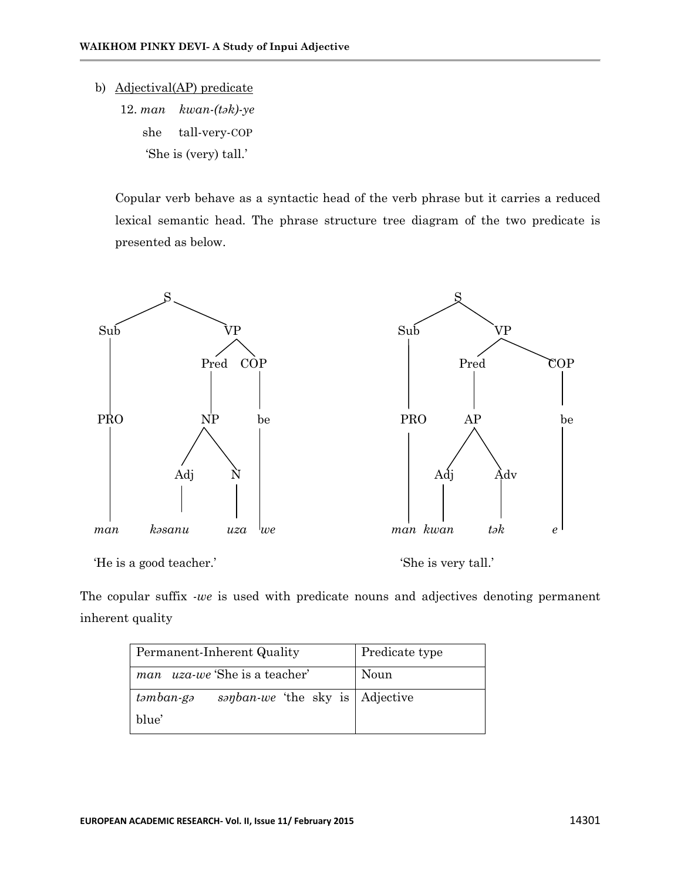#### b) Adjectival(AP) predicate

12. *man kwan-(tək)-ye* she tall-very-COP 'She is (very) tall.'

Copular verb behave as a syntactic head of the verb phrase but it carries a reduced lexical semantic head. The phrase structure tree diagram of the two predicate is presented as below.



'He is a good teacher.' 'She is very tall.'

The copular suffix *-we* is used with predicate nouns and adjectives denoting permanent inherent quality

| Permanent-Inherent Quality                     | Predicate type |  |  |
|------------------------------------------------|----------------|--|--|
| <i>man uza-we</i> 'She is a teacher'<br>Noun   |                |  |  |
| sanban-we 'the sky is   Adjective<br>təmban-gə |                |  |  |
| blue'                                          |                |  |  |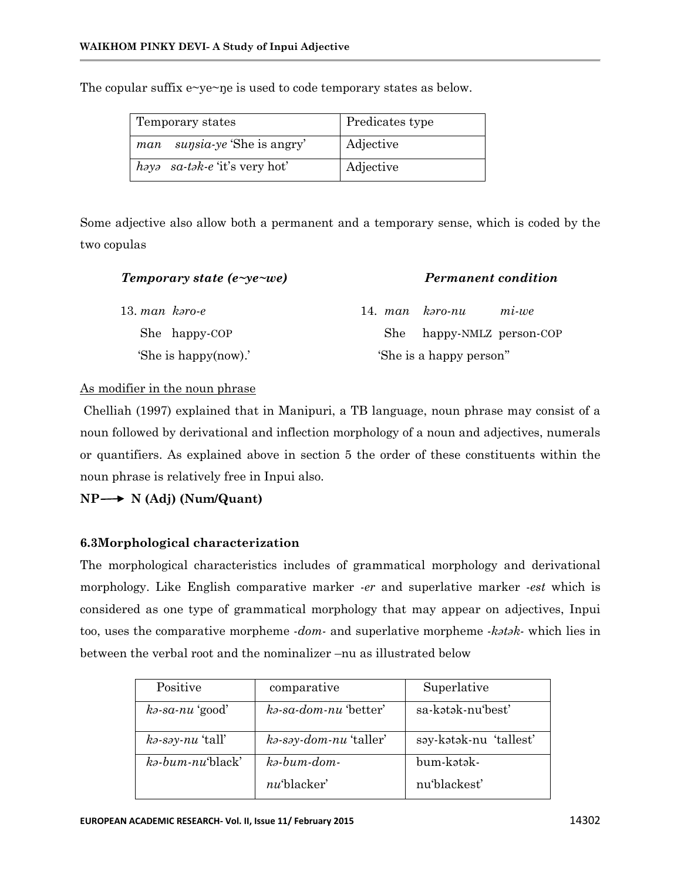| Temporary states                    | Predicates type |  |
|-------------------------------------|-----------------|--|
| <i>man sunsia-ye</i> 'She is angry' | Adjective       |  |
| haya sa-tak-e 'it's very hot'       | Adjective       |  |

The copular suffix e~ye~ne is used to code temporary states as below.

Some adjective also allow both a permanent and a temporary sense, which is coded by the two copulas

| Temporary state (e-ye-we) | <b>Permanent condition</b>     |
|---------------------------|--------------------------------|
| 13. man $k$ <i>aro-e</i>  | 14. man kəro-nu<br>$mi$ -we    |
| She happy-COP             | happy-NMLZ person-COP<br>She - |
| 'She is happy(now).'      | 'She is a happy person"        |

### As modifier in the noun phrase

Chelliah (1997) explained that in Manipuri, a TB language, noun phrase may consist of a noun followed by derivational and inflection morphology of a noun and adjectives, numerals or quantifiers. As explained above in section 5 the order of these constituents within the noun phrase is relatively free in Inpui also.

 $NP \rightarrow N$  (Adj) (Num/Quant)

## **6.3Morphological characterization**

The morphological characteristics includes of grammatical morphology and derivational morphology. Like English comparative marker -*er* and superlative marker -*est* which is considered as one type of grammatical morphology that may appear on adjectives, Inpui too, uses the comparative morpheme -*dom-* and superlative morpheme -*kətək-* which lies in between the verbal root and the nominalizer –nu as illustrated below

| Positive                   | comparative                                        | Superlative            |
|----------------------------|----------------------------------------------------|------------------------|
| $k\partial$ -sa-nu 'good'  | $k$ <sub>2</sub> -sa-dom-nu 'better'               | sa-kətək-nu'best'      |
| $k\partial$ -say-nu 'tall' | $k$ <sub>2</sub> -s <sub>2</sub> y-dom-nu 'taller' | səy-kətək-nu 'tallest' |
| $k$ -bum-nu'black'         | $k$ $\partial$ - $bum$ - $dom$ -                   | bum-kətək-             |
|                            | $nu$ 'blacker'                                     | nu'blackest'           |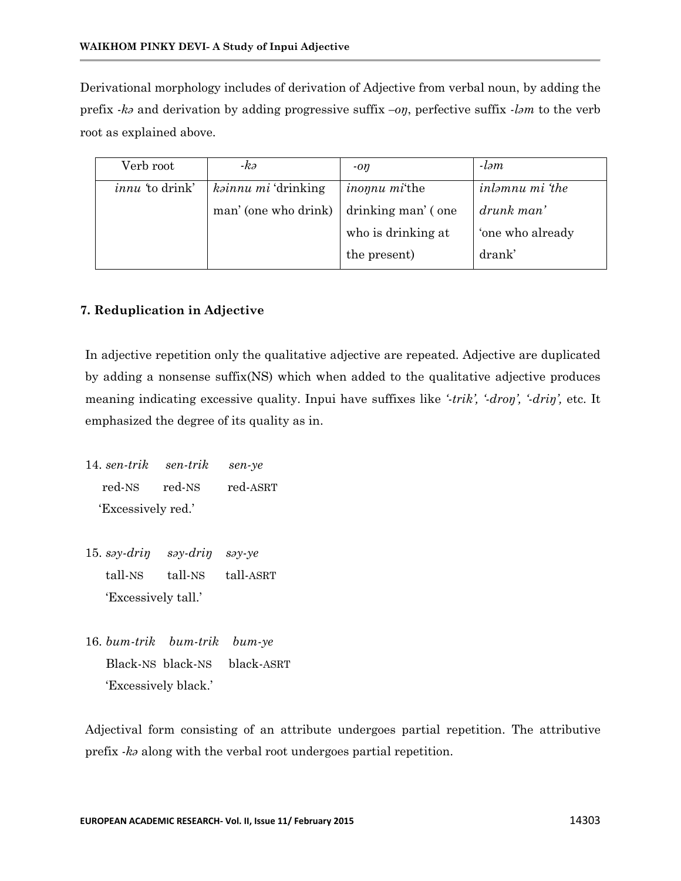Derivational morphology includes of derivation of Adjective from verbal noun, by adding the prefix *-kə* and derivation by adding progressive suffix *–oŋ*, perfective suffix *-ləm* to the verb root as explained above.

| Verb root             | -kə                  | $-on$                         | $-lom$                 |
|-----------------------|----------------------|-------------------------------|------------------------|
| <i>innu</i> to drink' | kainnu mi 'drinking  | <i>inonumi</i> <sup>the</sup> | <i>inlamnu mi</i> 'the |
|                       | man' (one who drink) | drinking man' (one            | $drunk$ man'           |
|                       |                      | who is drinking at            | 'one who already       |
|                       |                      | the present)                  | drank <sup>'</sup>     |

## **7. Reduplication in Adjective**

In adjective repetition only the qualitative adjective are repeated. Adjective are duplicated by adding a nonsense suffix(NS) which when added to the qualitative adjective produces meaning indicating excessive quality. Inpui have suffixes like *'-trik', '-droŋ', '-driŋ',* etc. It emphasized the degree of its quality as in.

14. *sen-trik sen-trik sen-ye* red-NS red-NS red-ASRT 'Excessively red.'

- 15. *səy-driŋ səy-driŋ səy-ye* tall-NS tall-NS tall-ASRT 'Excessively tall.'
- 16. *bum-trik bum-trik bum-ye* Black-NS black-NS black-ASRT 'Excessively black.'

Adjectival form consisting of an attribute undergoes partial repetition. The attributive prefix *-kə* along with the verbal root undergoes partial repetition.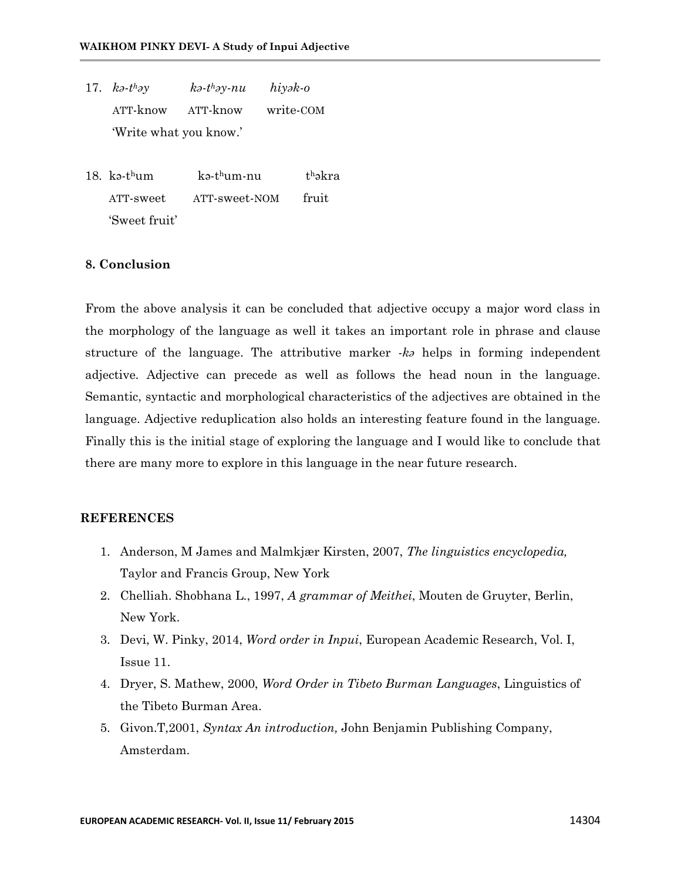- 17.  $k\partial$ *-thay*  $k$ *ə-t*<sup>*h*</sup>*ay-nu <sup>h</sup>əy-nu hiyək-o* ATT-know ATT-know write-COM 'Write what you know.'
- 18. kə-t <sup>h</sup>um kə-t <sup>h</sup>um-nu thəkra ATT-sweet ATT-sweet-NOM fruit 'Sweet fruit'

### **8. Conclusion**

From the above analysis it can be concluded that adjective occupy a major word class in the morphology of the language as well it takes an important role in phrase and clause structure of the language. The attributive marker *-kə* helps in forming independent adjective. Adjective can precede as well as follows the head noun in the language. Semantic, syntactic and morphological characteristics of the adjectives are obtained in the language. Adjective reduplication also holds an interesting feature found in the language. Finally this is the initial stage of exploring the language and I would like to conclude that there are many more to explore in this language in the near future research.

#### **REFERENCES**

- 1. Anderson, M James and Malmkjær Kirsten, 2007, *The linguistics encyclopedia,*  Taylor and Francis Group, New York
- 2. Chelliah. Shobhana L., 1997, *A grammar of Meithei*, Mouten de Gruyter, Berlin, New York.
- 3. Devi, W. Pinky, 2014, *Word order in Inpui*, European Academic Research, Vol. I, Issue 11.
- 4. Dryer, S. Mathew, 2000, *Word Order in Tibeto Burman Languages*, Linguistics of the Tibeto Burman Area.
- 5. Givon.T,2001, *Syntax An introduction,* John Benjamin Publishing Company, Amsterdam.